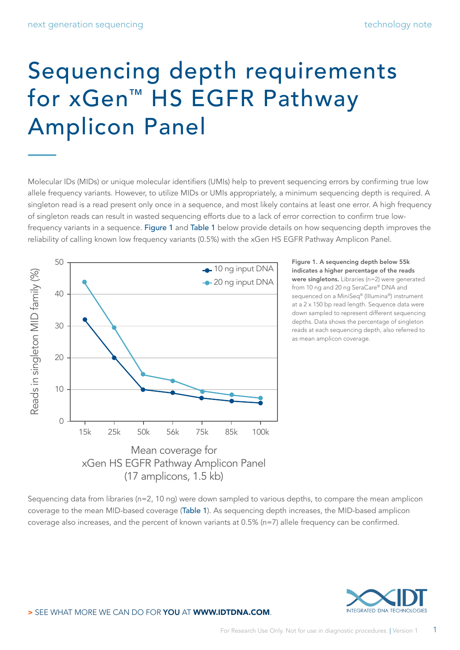## Sequencing depth requirements for xGen™ HS EGFR Pathway Amplicon Panel

Molecular IDs (MIDs) or unique molecular identifiers (UMIs) help to prevent sequencing errors by confirming true low allele frequency variants. However, to utilize MIDs or UMIs appropriately, a minimum sequencing depth is required. A singleton read is a read present only once in a sequence, and most likely contains at least one error. A high frequency of singleton reads can result in wasted sequencing efforts due to a lack of error correction to confirm true low-frequency variants in a sequence. Figure 1 and [Table 1](#page-1-0) below provide details on how sequencing depth improves the reliability of calling known low frequency variants (0.5%) with the xGen HS EGFR Pathway Amplicon Panel.



Figure 1. A sequencing depth below 55k indicates a higher percentage of the reads were singletons. Libraries (n=2) were generated from 10 ng and 20 ng SeraCare® DNA and sequenced on a MiniSeq® (IIIumina®) instrument at a 2 x 150 bp read length. Sequence data were down sampled to represent different sequencing depths. Data shows the percentage of singleton reads at each sequencing depth, also referred to as mean amplicon coverage.

Sequencing data from libraries (n=2, 10 ng) were down sampled to various depths, to compare the mean amplicon coverage to the mean MID-based coverage ([Table 1](#page-1-0)). As sequencing depth increases, the MID-based amplicon coverage also increases, and the percent of known variants at 0.5% (n=7) allele frequency can be confirmed.